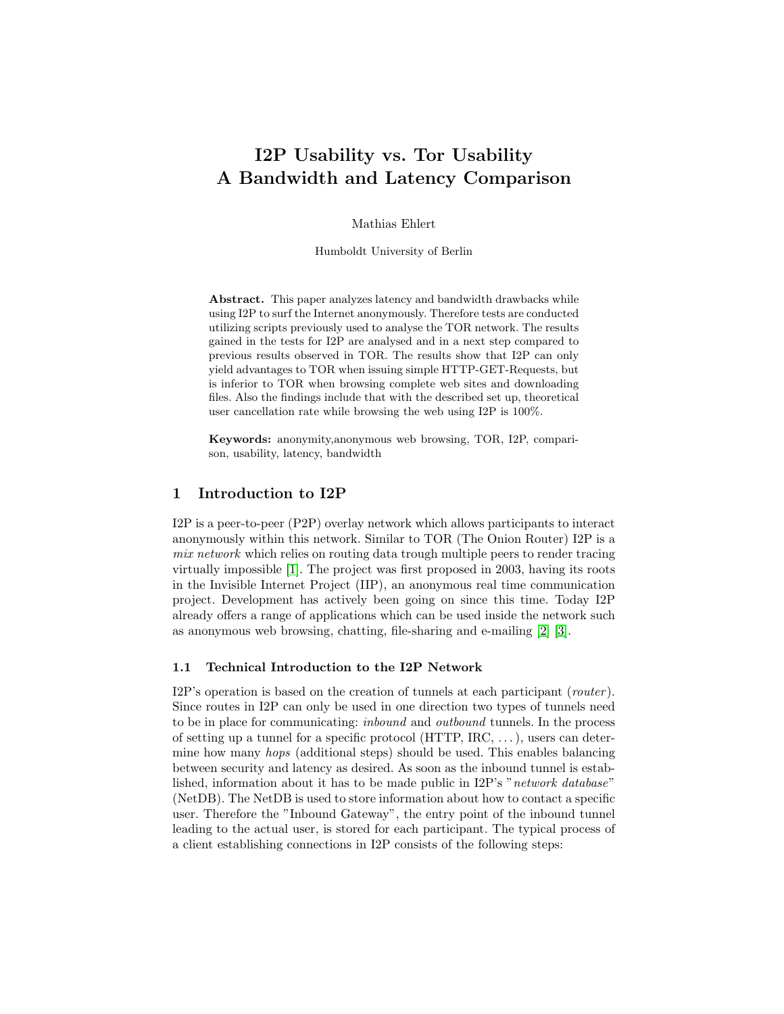# I2P Usability vs. Tor Usability A Bandwidth and Latency Comparison

Mathias Ehlert

Humboldt University of Berlin

Abstract. This paper analyzes latency and bandwidth drawbacks while using I2P to surf the Internet anonymously. Therefore tests are conducted utilizing scripts previously used to analyse the TOR network. The results gained in the tests for I2P are analysed and in a next step compared to previous results observed in TOR. The results show that I2P can only yield advantages to TOR when issuing simple HTTP-GET-Requests, but is inferior to TOR when browsing complete web sites and downloading files. Also the findings include that with the described set up, theoretical user cancellation rate while browsing the web using I2P is 100%.

Keywords: anonymity,anonymous web browsing, TOR, I2P, comparison, usability, latency, bandwidth

## 1 Introduction to I2P

I2P is a peer-to-peer (P2P) overlay network which allows participants to interact anonymously within this network. Similar to TOR (The Onion Router) I2P is a mix network which relies on routing data trough multiple peers to render tracing virtually impossible [\[1\]](#page-11-0). The project was first proposed in 2003, having its roots in the Invisible Internet Project (IIP), an anonymous real time communication project. Development has actively been going on since this time. Today I2P already offers a range of applications which can be used inside the network such as anonymous web browsing, chatting, file-sharing and e-mailing [\[2\]](#page-11-1) [\[3\]](#page-11-2).

#### <span id="page-0-0"></span>1.1 Technical Introduction to the I2P Network

I2P's operation is based on the creation of tunnels at each participant (router). Since routes in I2P can only be used in one direction two types of tunnels need to be in place for communicating: inbound and outbound tunnels. In the process of setting up a tunnel for a specific protocol (HTTP,  $\text{IRC}, \ldots$ ), users can determine how many hops (additional steps) should be used. This enables balancing between security and latency as desired. As soon as the inbound tunnel is established, information about it has to be made public in I2P's "network database" (NetDB). The NetDB is used to store information about how to contact a specific user. Therefore the "Inbound Gateway", the entry point of the inbound tunnel leading to the actual user, is stored for each participant. The typical process of a client establishing connections in I2P consists of the following steps: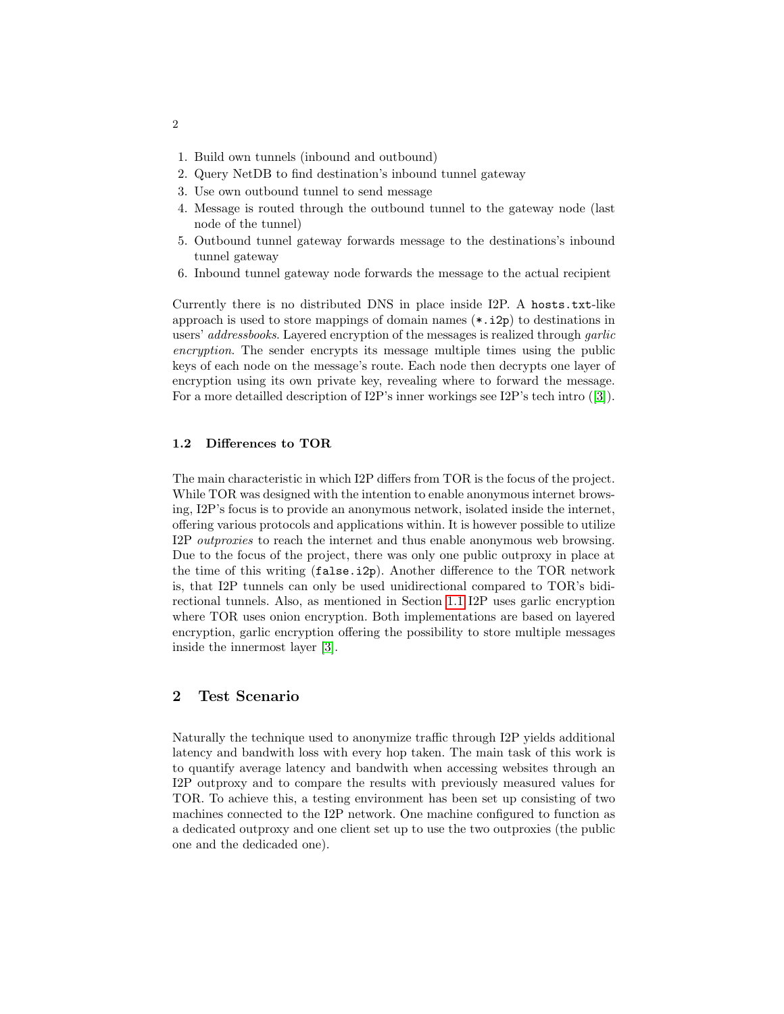- 1. Build own tunnels (inbound and outbound)
- 2. Query NetDB to find destination's inbound tunnel gateway
- 3. Use own outbound tunnel to send message
- 4. Message is routed through the outbound tunnel to the gateway node (last node of the tunnel)
- 5. Outbound tunnel gateway forwards message to the destinations's inbound tunnel gateway
- 6. Inbound tunnel gateway node forwards the message to the actual recipient

Currently there is no distributed DNS in place inside I2P. A hosts.txt-like approach is used to store mappings of domain names  $(*.i2p)$  to destinations in users' addressbooks. Layered encryption of the messages is realized through garlic encryption. The sender encrypts its message multiple times using the public keys of each node on the message's route. Each node then decrypts one layer of encryption using its own private key, revealing where to forward the message. For a more detailled description of I2P's inner workings see I2P's tech intro ([\[3\]](#page-11-2)).

#### 1.2 Differences to TOR

The main characteristic in which I2P differs from TOR is the focus of the project. While TOR was designed with the intention to enable anonymous internet browsing, I2P's focus is to provide an anonymous network, isolated inside the internet, offering various protocols and applications within. It is however possible to utilize I2P outproxies to reach the internet and thus enable anonymous web browsing. Due to the focus of the project, there was only one public outproxy in place at the time of this writing (false.i2p). Another difference to the TOR network is, that I2P tunnels can only be used unidirectional compared to TOR's bidirectional tunnels. Also, as mentioned in Section [1.1](#page-0-0) I2P uses garlic encryption where TOR uses onion encryption. Both implementations are based on layered encryption, garlic encryption offering the possibility to store multiple messages inside the innermost layer [\[3\]](#page-11-2).

## 2 Test Scenario

Naturally the technique used to anonymize traffic through I2P yields additional latency and bandwith loss with every hop taken. The main task of this work is to quantify average latency and bandwith when accessing websites through an I2P outproxy and to compare the results with previously measured values for TOR. To achieve this, a testing environment has been set up consisting of two machines connected to the I2P network. One machine configured to function as a dedicated outproxy and one client set up to use the two outproxies (the public one and the dedicaded one).

2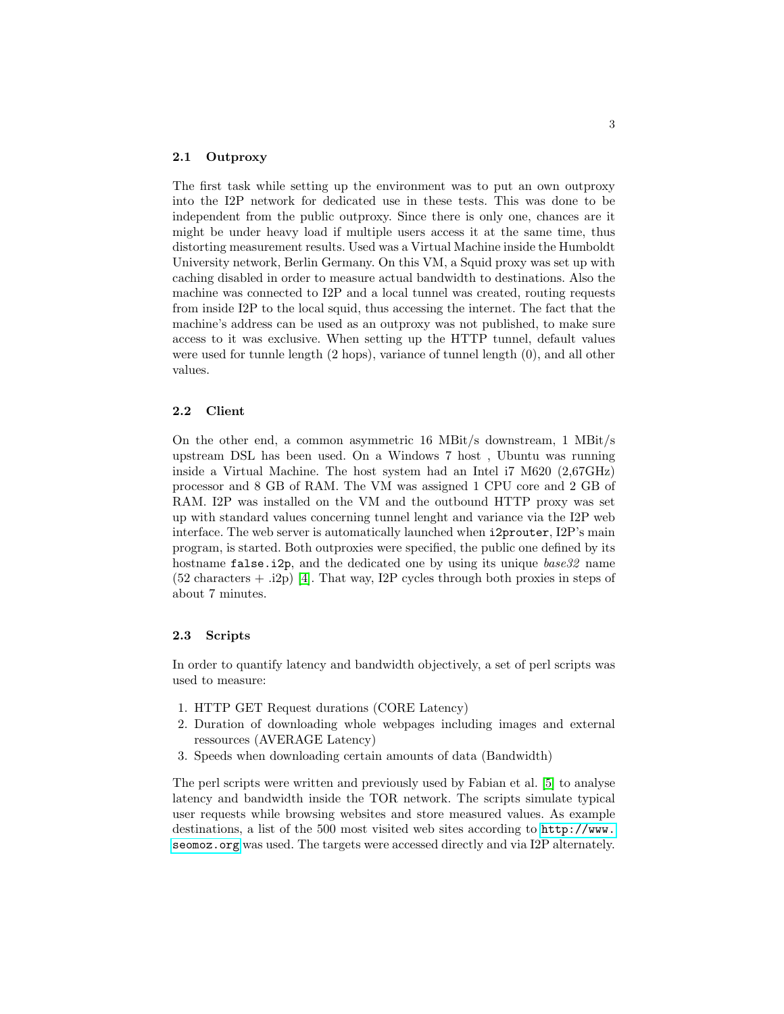#### 2.1 Outproxy

The first task while setting up the environment was to put an own outproxy into the I2P network for dedicated use in these tests. This was done to be independent from the public outproxy. Since there is only one, chances are it might be under heavy load if multiple users access it at the same time, thus distorting measurement results. Used was a Virtual Machine inside the Humboldt University network, Berlin Germany. On this VM, a Squid proxy was set up with caching disabled in order to measure actual bandwidth to destinations. Also the machine was connected to I2P and a local tunnel was created, routing requests from inside I2P to the local squid, thus accessing the internet. The fact that the machine's address can be used as an outproxy was not published, to make sure access to it was exclusive. When setting up the HTTP tunnel, default values were used for tunnle length (2 hops), variance of tunnel length (0), and all other values.

#### <span id="page-2-0"></span>2.2 Client

On the other end, a common asymmetric 16 MBit/s downstream, 1 MBit/s upstream DSL has been used. On a Windows 7 host , Ubuntu was running inside a Virtual Machine. The host system had an Intel i7 M620 (2,67GHz) processor and 8 GB of RAM. The VM was assigned 1 CPU core and 2 GB of RAM. I2P was installed on the VM and the outbound HTTP proxy was set up with standard values concerning tunnel lenght and variance via the I2P web interface. The web server is automatically launched when i2prouter, I2P's main program, is started. Both outproxies were specified, the public one defined by its hostname false.i2p, and the dedicated one by using its unique base32 name (52 characters + .i2p) [\[4\]](#page-11-3). That way, I2P cycles through both proxies in steps of about 7 minutes.

#### 2.3 Scripts

In order to quantify latency and bandwidth objectively, a set of perl scripts was used to measure:

- 1. HTTP GET Request durations (CORE Latency)
- 2. Duration of downloading whole webpages including images and external ressources (AVERAGE Latency)
- 3. Speeds when downloading certain amounts of data (Bandwidth)

The perl scripts were written and previously used by Fabian et al. [\[5\]](#page-11-4) to analyse latency and bandwidth inside the TOR network. The scripts simulate typical user requests while browsing websites and store measured values. As example destinations, a list of the 500 most visited web sites according to [http://www.](http://www.seomoz.org) [seomoz.org](http://www.seomoz.org) was used. The targets were accessed directly and via I2P alternately.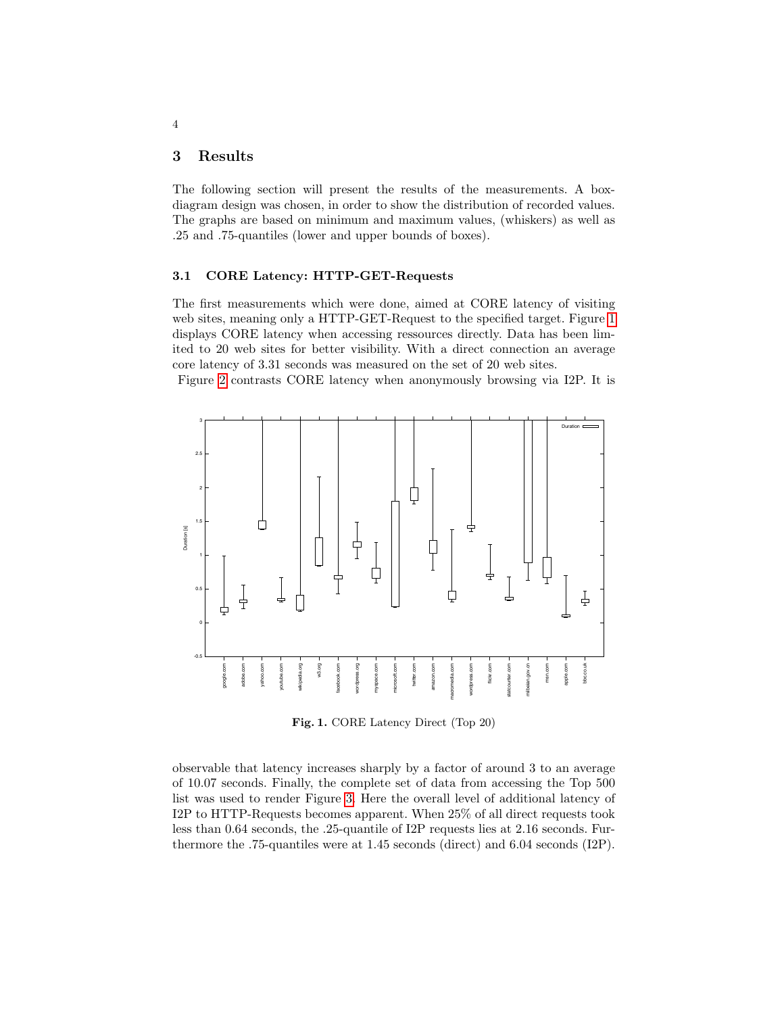## <span id="page-3-1"></span>3 Results

The following section will present the results of the measurements. A boxdiagram design was chosen, in order to show the distribution of recorded values. The graphs are based on minimum and maximum values, (whiskers) as well as .25 and .75-quantiles (lower and upper bounds of boxes).

#### 3.1 CORE Latency: HTTP-GET-Requests

The first measurements which were done, aimed at CORE latency of visiting web sites, meaning only a HTTP-GET-Request to the specified target. Figure [1](#page-3-0) displays CORE latency when accessing ressources directly. Data has been limited to 20 web sites for better visibility. With a direct connection an average core latency of 3.31 seconds was measured on the set of 20 web sites.

Figure [2](#page-4-0) contrasts CORE latency when anonymously browsing via I2P. It is



<span id="page-3-0"></span>Fig. 1. CORE Latency Direct (Top 20)

observable that latency increases sharply by a factor of around 3 to an average of 10.07 seconds. Finally, the complete set of data from accessing the Top 500 list was used to render Figure [3.](#page-5-0) Here the overall level of additional latency of I2P to HTTP-Requests becomes apparent. When 25% of all direct requests took less than 0.64 seconds, the .25-quantile of I2P requests lies at 2.16 seconds. Furthermore the .75-quantiles were at 1.45 seconds (direct) and 6.04 seconds (I2P).

4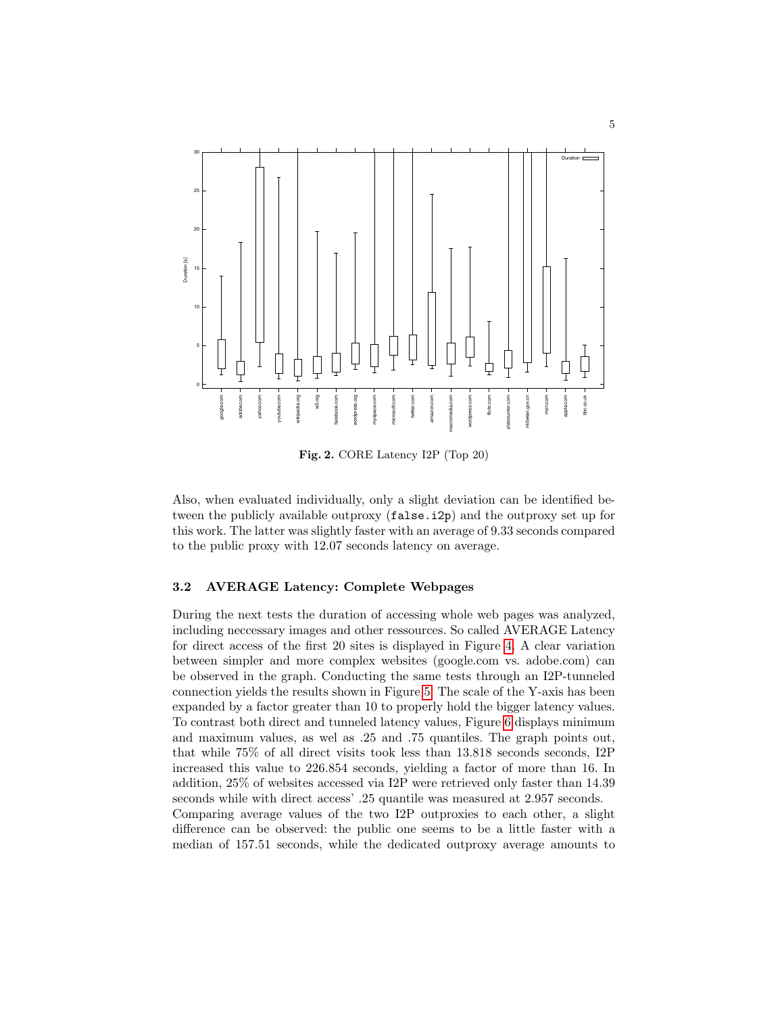

<span id="page-4-0"></span>Fig. 2. CORE Latency I2P (Top 20)

Also, when evaluated individually, only a slight deviation can be identified between the publicly available outproxy (false.i2p) and the outproxy set up for this work. The latter was slightly faster with an average of 9.33 seconds compared to the public proxy with 12.07 seconds latency on average.

## 3.2 AVERAGE Latency: Complete Webpages

During the next tests the duration of accessing whole web pages was analyzed, including neccessary images and other ressources. So called AVERAGE Latency for direct access of the first 20 sites is displayed in Figure [4.](#page-5-1) A clear variation between simpler and more complex websites (google.com vs. adobe.com) can be observed in the graph. Conducting the same tests through an I2P-tunneled connection yields the results shown in Figure [5.](#page-6-0) The scale of the Y-axis has been expanded by a factor greater than 10 to properly hold the bigger latency values. To contrast both direct and tunneled latency values, Figure [6](#page-7-0) displays minimum and maximum values, as wel as .25 and .75 quantiles. The graph points out, that while 75% of all direct visits took less than 13.818 seconds seconds, I2P increased this value to 226.854 seconds, yielding a factor of more than 16. In addition, 25% of websites accessed via I2P were retrieved only faster than 14.39 seconds while with direct access' .25 quantile was measured at 2.957 seconds. Comparing average values of the two I2P outproxies to each other, a slight difference can be observed: the public one seems to be a little faster with a median of 157.51 seconds, while the dedicated outproxy average amounts to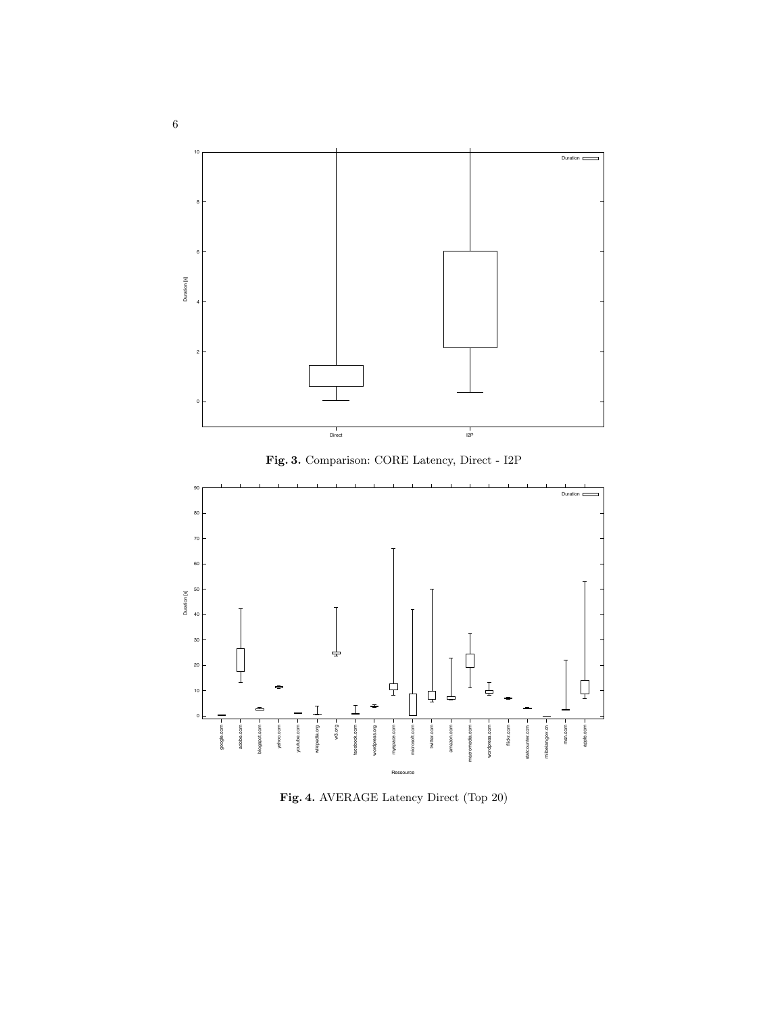

<span id="page-5-0"></span>



<span id="page-5-1"></span>Fig. 4. AVERAGE Latency Direct (Top 20)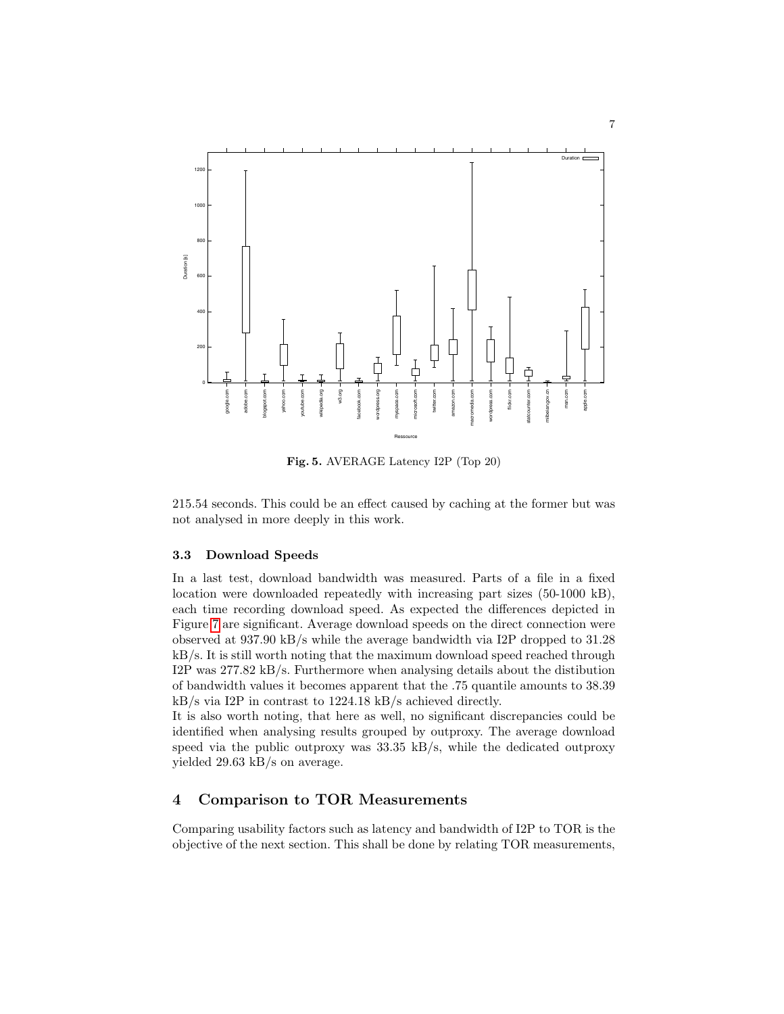

<span id="page-6-0"></span>Fig. 5. AVERAGE Latency I2P (Top 20)

215.54 seconds. This could be an effect caused by caching at the former but was not analysed in more deeply in this work.

## 3.3 Download Speeds

In a last test, download bandwidth was measured. Parts of a file in a fixed location were downloaded repeatedly with increasing part sizes (50-1000 kB), each time recording download speed. As expected the differences depicted in Figure [7](#page-8-0) are significant. Average download speeds on the direct connection were observed at 937.90 kB/s while the average bandwidth via I2P dropped to 31.28 kB/s. It is still worth noting that the maximum download speed reached through I2P was 277.82 kB/s. Furthermore when analysing details about the distibution of bandwidth values it becomes apparent that the .75 quantile amounts to 38.39 kB/s via I2P in contrast to 1224.18 kB/s achieved directly.

It is also worth noting, that here as well, no significant discrepancies could be identified when analysing results grouped by outproxy. The average download speed via the public outproxy was  $33.35 \text{ kB/s}$ , while the dedicated outproxy yielded 29.63 kB/s on average.

## 4 Comparison to TOR Measurements

Comparing usability factors such as latency and bandwidth of I2P to TOR is the objective of the next section. This shall be done by relating TOR measurements,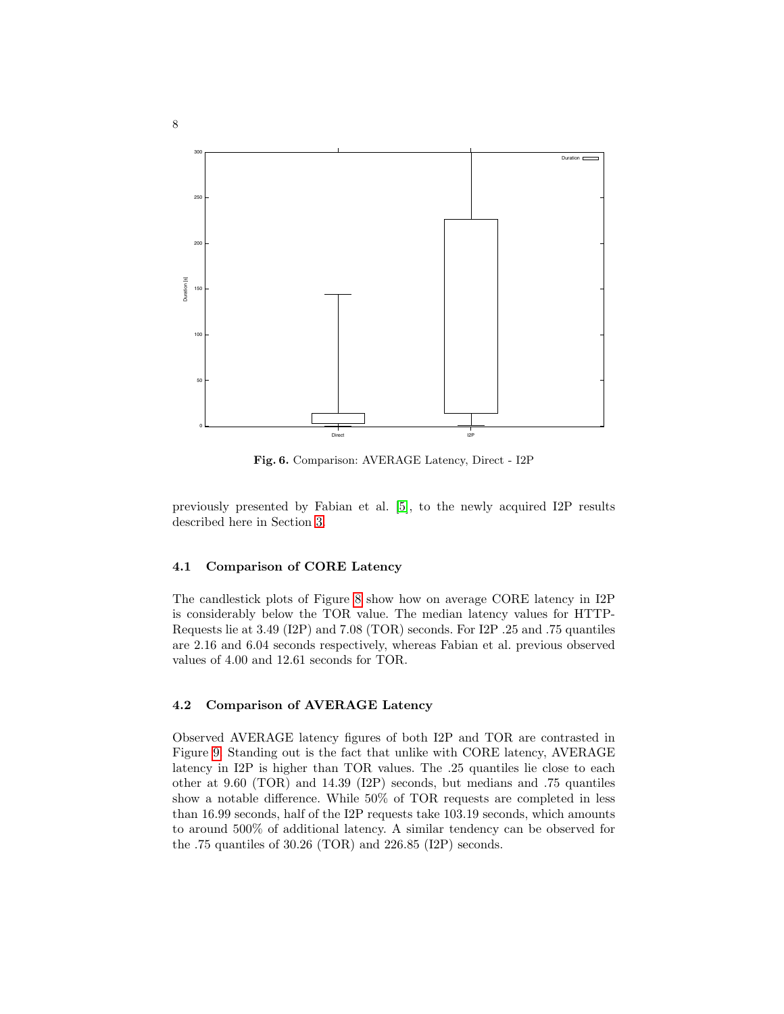

<span id="page-7-0"></span>Fig. 6. Comparison: AVERAGE Latency, Direct - I2P

previously presented by Fabian et al. [\[5\]](#page-11-4), to the newly acquired I2P results described here in Section [3.](#page-3-1)

#### 4.1 Comparison of CORE Latency

The candlestick plots of Figure [8](#page-9-0) show how on average CORE latency in I2P is considerably below the TOR value. The median latency values for HTTP-Requests lie at 3.49 (I2P) and 7.08 (TOR) seconds. For I2P .25 and .75 quantiles are 2.16 and 6.04 seconds respectively, whereas Fabian et al. previous observed values of 4.00 and 12.61 seconds for TOR.

#### 4.2 Comparison of AVERAGE Latency

Observed AVERAGE latency figures of both I2P and TOR are contrasted in Figure [9.](#page-9-1) Standing out is the fact that unlike with CORE latency, AVERAGE latency in I2P is higher than TOR values. The .25 quantiles lie close to each other at 9.60 (TOR) and 14.39 (I2P) seconds, but medians and .75 quantiles show a notable difference. While 50% of TOR requests are completed in less than 16.99 seconds, half of the I2P requests take 103.19 seconds, which amounts to around 500% of additional latency. A similar tendency can be observed for the .75 quantiles of 30.26 (TOR) and 226.85 (I2P) seconds.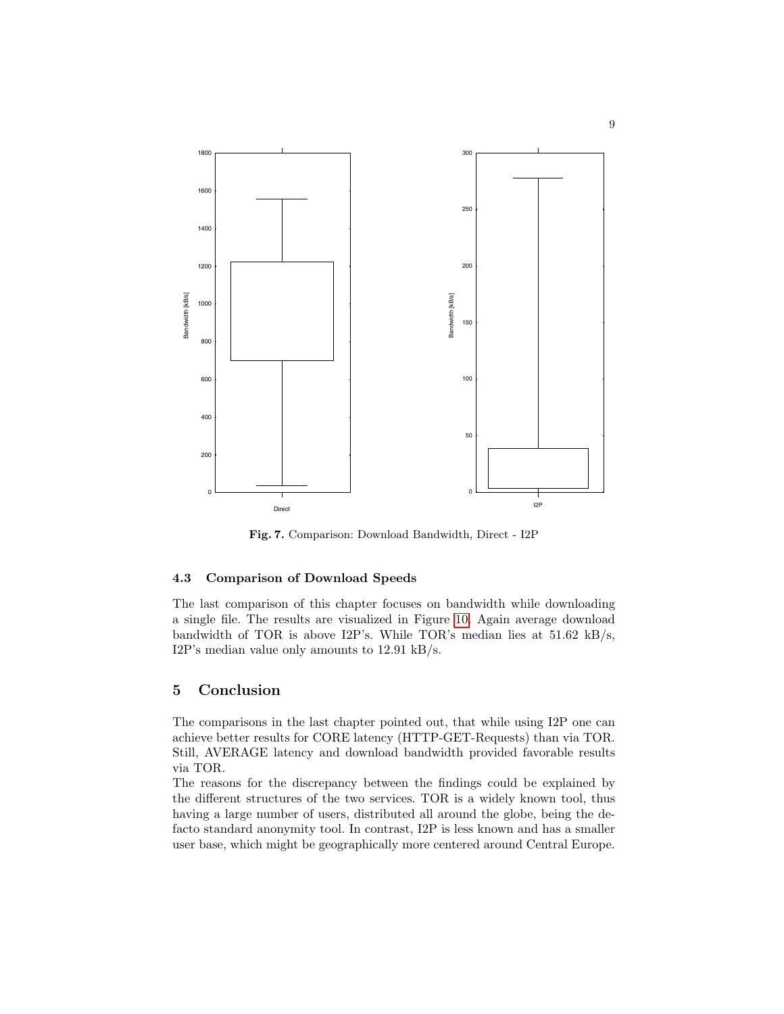

<span id="page-8-0"></span>Fig. 7. Comparison: Download Bandwidth, Direct - I2P

#### 4.3 Comparison of Download Speeds

The last comparison of this chapter focuses on bandwidth while downloading a single file. The results are visualized in Figure [10.](#page-10-0) Again average download bandwidth of TOR is above I2P's. While TOR's median lies at 51.62 kB/s, I2P's median value only amounts to 12.91 kB/s.

## 5 Conclusion

The comparisons in the last chapter pointed out, that while using I2P one can achieve better results for CORE latency (HTTP-GET-Requests) than via TOR. Still, AVERAGE latency and download bandwidth provided favorable results via TOR.

The reasons for the discrepancy between the findings could be explained by the different structures of the two services. TOR is a widely known tool, thus having a large number of users, distributed all around the globe, being the defacto standard anonymity tool. In contrast, I2P is less known and has a smaller user base, which might be geographically more centered around Central Europe.

9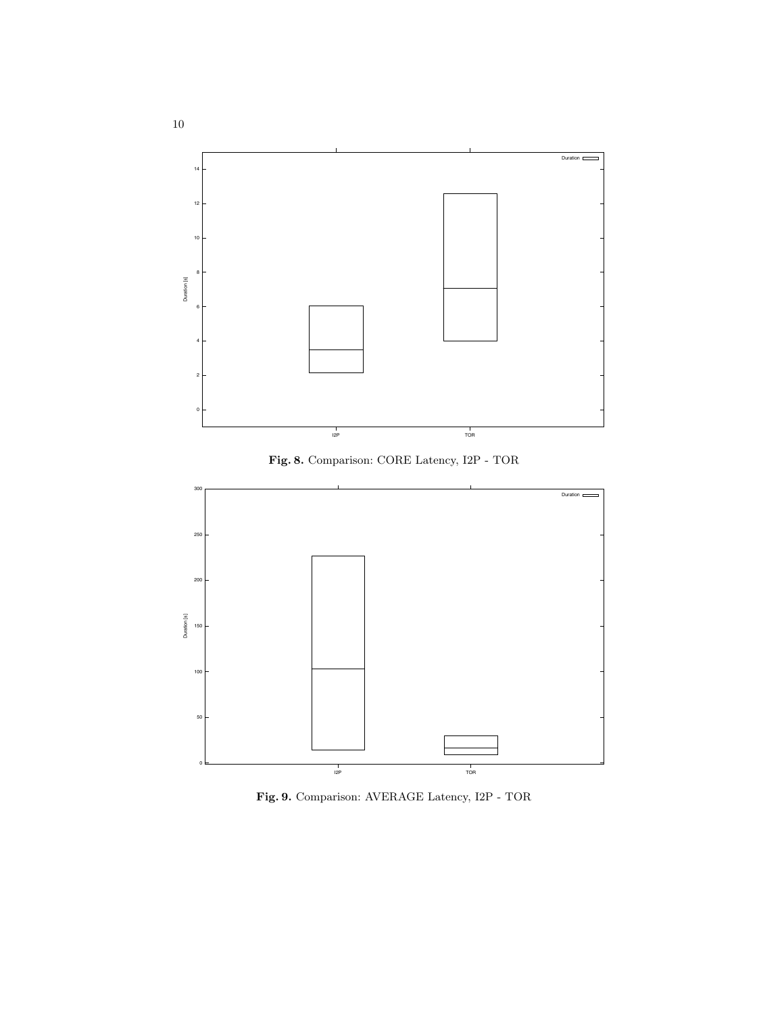

<span id="page-9-0"></span>Fig. 8. Comparison: CORE Latency, I2P - TOR



<span id="page-9-1"></span>Fig. 9. Comparison: AVERAGE Latency, I2P - TOR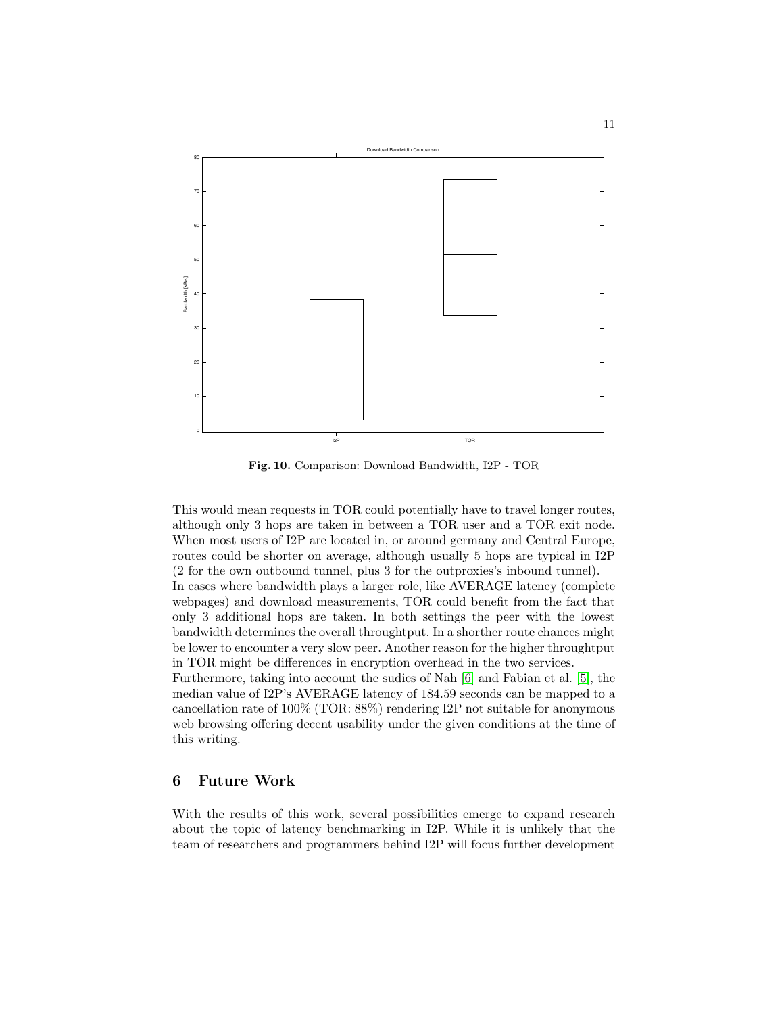

<span id="page-10-0"></span>Fig. 10. Comparison: Download Bandwidth, I2P - TOR

This would mean requests in TOR could potentially have to travel longer routes, although only 3 hops are taken in between a TOR user and a TOR exit node. When most users of I2P are located in, or around germany and Central Europe, routes could be shorter on average, although usually 5 hops are typical in I2P (2 for the own outbound tunnel, plus 3 for the outproxies's inbound tunnel). In cases where bandwidth plays a larger role, like AVERAGE latency (complete webpages) and download measurements, TOR could benefit from the fact that only 3 additional hops are taken. In both settings the peer with the lowest bandwidth determines the overall throughtput. In a shorther route chances might be lower to encounter a very slow peer. Another reason for the higher throughtput in TOR might be differences in encryption overhead in the two services. Furthermore, taking into account the sudies of Nah [\[6\]](#page-11-5) and Fabian et al. [\[5\]](#page-11-4), the median value of I2P's AVERAGE latency of 184.59 seconds can be mapped to a cancellation rate of 100% (TOR: 88%) rendering I2P not suitable for anonymous

web browsing offering decent usability under the given conditions at the time of this writing.

# 6 Future Work

With the results of this work, several possibilities emerge to expand research about the topic of latency benchmarking in I2P. While it is unlikely that the team of researchers and programmers behind I2P will focus further development